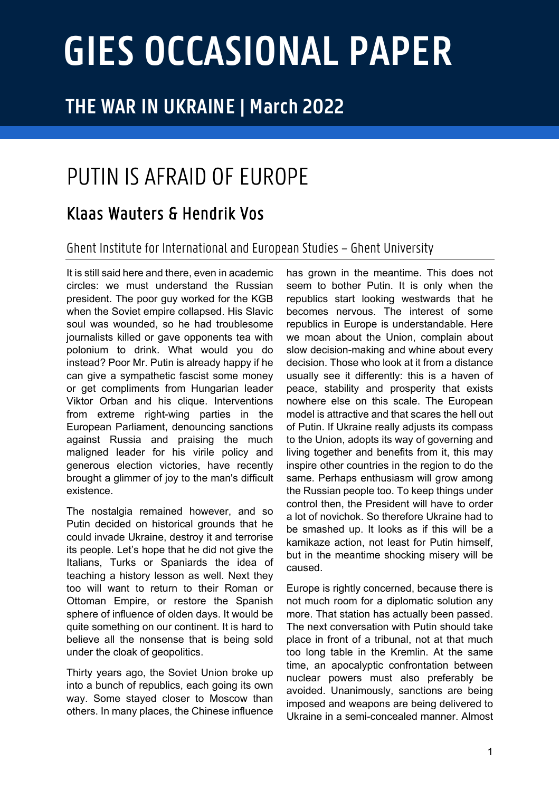# **GIES OCCASIONAL PAPER**

## **THE WAR IN UKRAINE | March 2022**

# PUTIN IS AFRAID OF EUROPE

### Klaas Wauters & Hendrik Vos

#### Ghent Institute for Internationaland European Studies – Ghent University

It is still said here and there, even in academic circles: we must understand the Russian president. The poor guy worked for the KGB when the Soviet empire collapsed. His Slavic soul was wounded, so he had troublesome journalists killed or gave opponents tea with polonium to drink. What would you do instead? Poor Mr. Putin is already happy if he can give a sympathetic fascist some money or get compliments from Hungarian leader Viktor Orban and his clique. Interventions from extreme right-wing parties in the European Parliament, denouncing sanctions against Russia and praising the much maligned leader for his virile policy and generous election victories, have recently brought a glimmer of joy to the man's difficult existence.

The nostalgia remained however, and so Putin decided on historical grounds that he could invade Ukraine, destroy it and terrorise its people. Let's hope that he did not give the Italians, Turks or Spaniards the idea of teaching a history lesson as well. Next they too will want to return to their Roman or Ottoman Empire, or restore the Spanish sphere of influence of olden days. It would be quite something on our continent. It is hard to believe all the nonsense that is being sold under the cloak of geopolitics.

Thirty years ago, the Soviet Union broke up into a bunch of republics, each going its own way. Some stayed closer to Moscow than others. In many places, the Chinese influence

has grown in the meantime. This does not seem to bother Putin. It is only when the republics start looking westwards that he becomes nervous. The interest of some republics in Europe is understandable. Here we moan about the Union, complain about slow decision-making and whine about every decision. Those who look at it from a distance usually see it differently: this is a haven of peace, stability and prosperity that exists nowhere else on this scale. The European model is attractive and that scares the hell out of Putin. If Ukraine really adjusts its compass to the Union, adopts its way of governing and living together and benefits from it, this may inspire other countries in the region to do the same. Perhaps enthusiasm will grow among the Russian people too. To keep things under control then, the President will have to order a lot of novichok. So therefore Ukraine had to be smashed up. It looks as if this will be a kamikaze action, not least for Putin himself, but in the meantime shocking misery will be caused.

Europe is rightly concerned, because there is not much room for a diplomatic solution any more. That station has actually been passed. The next conversation with Putin should take place in front of a tribunal, not at that much too long table in the Kremlin. At the same time, an apocalyptic confrontation between nuclear powers must also preferably be avoided. Unanimously, sanctions are being imposed and weapons are being delivered to Ukraine in a semi-concealed manner. Almost